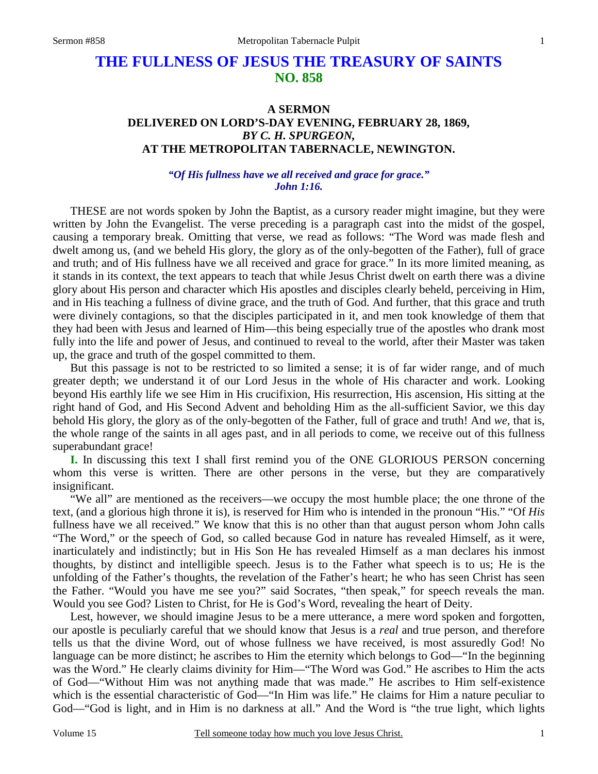# **THE FULLNESS OF JESUS THE TREASURY OF SAINTS NO. 858**

## **A SERMON DELIVERED ON LORD'S-DAY EVENING, FEBRUARY 28, 1869,** *BY C. H. SPURGEON,*  **AT THE METROPOLITAN TABERNACLE, NEWINGTON.**

## *"Of His fullness have we all received and grace for grace." John 1:16.*

THESE are not words spoken by John the Baptist, as a cursory reader might imagine, but they were written by John the Evangelist. The verse preceding is a paragraph cast into the midst of the gospel, causing a temporary break. Omitting that verse, we read as follows: "The Word was made flesh and dwelt among us, (and we beheld His glory, the glory as of the only-begotten of the Father), full of grace and truth; and of His fullness have we all received and grace for grace." In its more limited meaning, as it stands in its context, the text appears to teach that while Jesus Christ dwelt on earth there was a divine glory about His person and character which His apostles and disciples clearly beheld, perceiving in Him, and in His teaching a fullness of divine grace, and the truth of God. And further, that this grace and truth were divinely contagions, so that the disciples participated in it, and men took knowledge of them that they had been with Jesus and learned of Him—this being especially true of the apostles who drank most fully into the life and power of Jesus, and continued to reveal to the world, after their Master was taken up, the grace and truth of the gospel committed to them.

 But this passage is not to be restricted to so limited a sense; it is of far wider range, and of much greater depth; we understand it of our Lord Jesus in the whole of His character and work. Looking beyond His earthly life we see Him in His crucifixion, His resurrection, His ascension, His sitting at the right hand of God, and His Second Advent and beholding Him as the all-sufficient Savior, we this day behold His glory, the glory as of the only-begotten of the Father, full of grace and truth! And *we,* that is, the whole range of the saints in all ages past, and in all periods to come, we receive out of this fullness superabundant grace!

**I.** In discussing this text I shall first remind you of the ONE GLORIOUS PERSON concerning whom this verse is written. There are other persons in the verse, but they are comparatively insignificant.

 "We all" are mentioned as the receivers—we occupy the most humble place; the one throne of the text, (and a glorious high throne it is), is reserved for Him who is intended in the pronoun "His." "Of *His* fullness have we all received." We know that this is no other than that august person whom John calls "The Word," or the speech of God, so called because God in nature has revealed Himself, as it were, inarticulately and indistinctly; but in His Son He has revealed Himself as a man declares his inmost thoughts, by distinct and intelligible speech. Jesus is to the Father what speech is to us; He is the unfolding of the Father's thoughts, the revelation of the Father's heart; he who has seen Christ has seen the Father. "Would you have me see you?" said Socrates, "then speak," for speech reveals the man. Would you see God? Listen to Christ, for He is God's Word, revealing the heart of Deity.

 Lest, however, we should imagine Jesus to be a mere utterance, a mere word spoken and forgotten, our apostle is peculiarly careful that we should know that Jesus is a *real* and true person, and therefore tells us that the divine Word, out of whose fullness we have received, is most assuredly God! No language can be more distinct; he ascribes to Him the eternity which belongs to God—"In the beginning was the Word." He clearly claims divinity for Him—"The Word was God." He ascribes to Him the acts of God—"Without Him was not anything made that was made." He ascribes to Him self-existence which is the essential characteristic of God—"In Him was life." He claims for Him a nature peculiar to God—"God is light, and in Him is no darkness at all." And the Word is "the true light, which lights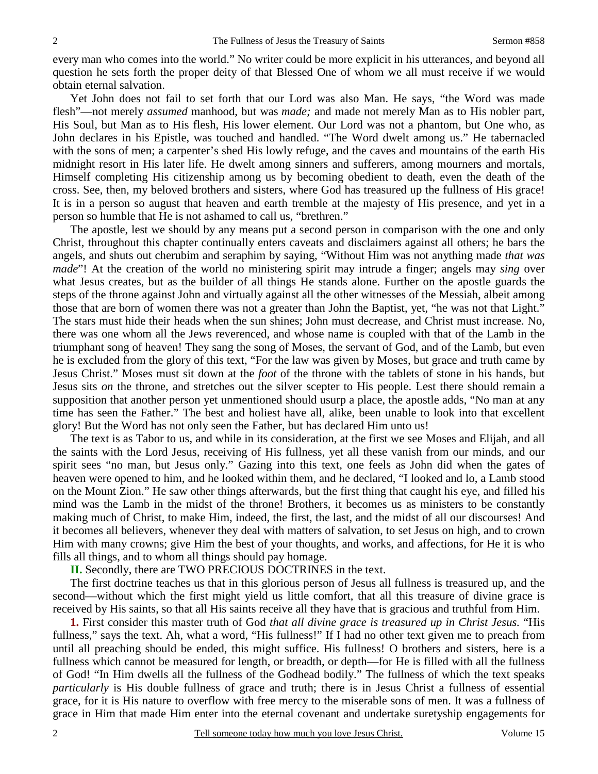every man who comes into the world." No writer could be more explicit in his utterances, and beyond all question he sets forth the proper deity of that Blessed One of whom we all must receive if we would obtain eternal salvation.

 Yet John does not fail to set forth that our Lord was also Man. He says, "the Word was made flesh"—not merely *assumed* manhood, but was *made;* and made not merely Man as to His nobler part, His Soul, but Man as to His flesh, His lower element. Our Lord was not a phantom, but One who, as John declares in his Epistle, was touched and handled. "The Word dwelt among us." He tabernacled with the sons of men; a carpenter's shed His lowly refuge, and the caves and mountains of the earth His midnight resort in His later life. He dwelt among sinners and sufferers, among mourners and mortals, Himself completing His citizenship among us by becoming obedient to death, even the death of the cross. See, then, my beloved brothers and sisters, where God has treasured up the fullness of His grace! It is in a person so august that heaven and earth tremble at the majesty of His presence, and yet in a person so humble that He is not ashamed to call us, "brethren."

 The apostle, lest we should by any means put a second person in comparison with the one and only Christ, throughout this chapter continually enters caveats and disclaimers against all others; he bars the angels, and shuts out cherubim and seraphim by saying, "Without Him was not anything made *that was made*"! At the creation of the world no ministering spirit may intrude a finger; angels may *sing* over what Jesus creates, but as the builder of all things He stands alone. Further on the apostle guards the steps of the throne against John and virtually against all the other witnesses of the Messiah, albeit among those that are born of women there was not a greater than John the Baptist, yet, "he was not that Light." The stars must hide their heads when the sun shines; John must decrease, and Christ must increase. No, there was one whom all the Jews reverenced, and whose name is coupled with that of the Lamb in the triumphant song of heaven! They sang the song of Moses, the servant of God, and of the Lamb, but even he is excluded from the glory of this text, "For the law was given by Moses, but grace and truth came by Jesus Christ." Moses must sit down at the *foot* of the throne with the tablets of stone in his hands, but Jesus sits *on* the throne, and stretches out the silver scepter to His people. Lest there should remain a supposition that another person yet unmentioned should usurp a place, the apostle adds, "No man at any time has seen the Father." The best and holiest have all, alike, been unable to look into that excellent glory! But the Word has not only seen the Father, but has declared Him unto us!

 The text is as Tabor to us, and while in its consideration, at the first we see Moses and Elijah, and all the saints with the Lord Jesus, receiving of His fullness, yet all these vanish from our minds, and our spirit sees "no man, but Jesus only." Gazing into this text, one feels as John did when the gates of heaven were opened to him, and he looked within them, and he declared, "I looked and lo, a Lamb stood on the Mount Zion." He saw other things afterwards, but the first thing that caught his eye, and filled his mind was the Lamb in the midst of the throne! Brothers, it becomes us as ministers to be constantly making much of Christ, to make Him, indeed, the first, the last, and the midst of all our discourses! And it becomes all believers, whenever they deal with matters of salvation, to set Jesus on high, and to crown Him with many crowns; give Him the best of your thoughts, and works, and affections, for He it is who fills all things, and to whom all things should pay homage.

**II.** Secondly, there are TWO PRECIOUS DOCTRINES in the text.

 The first doctrine teaches us that in this glorious person of Jesus all fullness is treasured up, and the second—without which the first might yield us little comfort, that all this treasure of divine grace is received by His saints, so that all His saints receive all they have that is gracious and truthful from Him.

**1.** First consider this master truth of God *that all divine grace is treasured up in Christ Jesus.* "His fullness," says the text. Ah, what a word, "His fullness!" If I had no other text given me to preach from until all preaching should be ended, this might suffice. His fullness! O brothers and sisters, here is a fullness which cannot be measured for length, or breadth, or depth—for He is filled with all the fullness of God! "In Him dwells all the fullness of the Godhead bodily." The fullness of which the text speaks *particularly* is His double fullness of grace and truth; there is in Jesus Christ a fullness of essential grace, for it is His nature to overflow with free mercy to the miserable sons of men. It was a fullness of grace in Him that made Him enter into the eternal covenant and undertake suretyship engagements for

2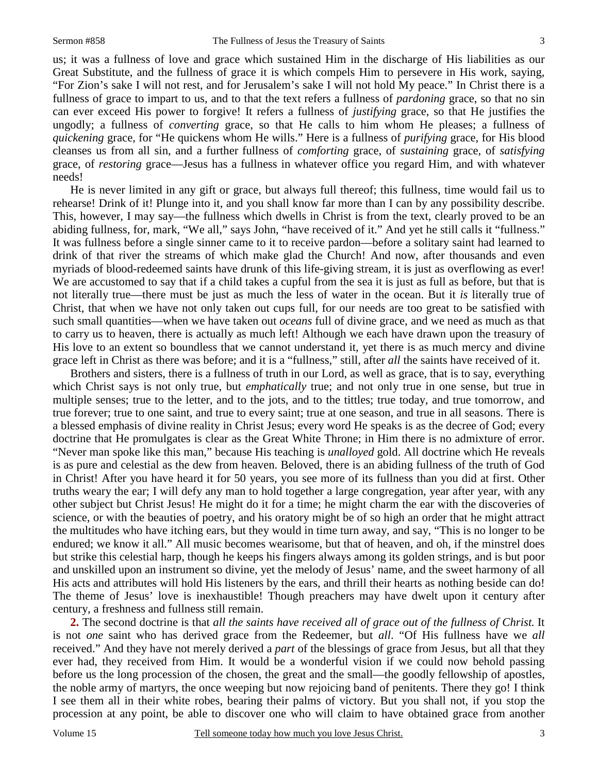us; it was a fullness of love and grace which sustained Him in the discharge of His liabilities as our Great Substitute, and the fullness of grace it is which compels Him to persevere in His work, saying, "For Zion's sake I will not rest, and for Jerusalem's sake I will not hold My peace." In Christ there is a fullness of grace to impart to us, and to that the text refers a fullness of *pardoning* grace, so that no sin can ever exceed His power to forgive! It refers a fullness of *justifying* grace, so that He justifies the ungodly; a fullness of *converting* grace, so that He calls to him whom He pleases; a fullness of *quickening* grace, for "He quickens whom He wills." Here is a fullness of *purifying* grace, for His blood cleanses us from all sin, and a further fullness of *comforting* grace, of *sustaining* grace, of *satisfying* grace, of *restoring* grace—Jesus has a fullness in whatever office you regard Him, and with whatever needs!

 He is never limited in any gift or grace, but always full thereof; this fullness, time would fail us to rehearse! Drink of it! Plunge into it, and you shall know far more than I can by any possibility describe. This, however, I may say—the fullness which dwells in Christ is from the text, clearly proved to be an abiding fullness, for, mark, "We all," says John, "have received of it." And yet he still calls it "fullness." It was fullness before a single sinner came to it to receive pardon—before a solitary saint had learned to drink of that river the streams of which make glad the Church! And now, after thousands and even myriads of blood-redeemed saints have drunk of this life-giving stream, it is just as overflowing as ever! We are accustomed to say that if a child takes a cupful from the sea it is just as full as before, but that is not literally true—there must be just as much the less of water in the ocean. But it *is* literally true of Christ, that when we have not only taken out cups full, for our needs are too great to be satisfied with such small quantities—when we have taken out *oceans* full of divine grace, and we need as much as that to carry us to heaven, there is actually as much left! Although we each have drawn upon the treasury of His love to an extent so boundless that we cannot understand it, yet there is as much mercy and divine grace left in Christ as there was before; and it is a "fullness," still, after *all* the saints have received of it.

 Brothers and sisters, there is a fullness of truth in our Lord, as well as grace, that is to say, everything which Christ says is not only true, but *emphatically* true; and not only true in one sense, but true in multiple senses; true to the letter, and to the jots, and to the tittles; true today, and true tomorrow, and true forever; true to one saint, and true to every saint; true at one season, and true in all seasons. There is a blessed emphasis of divine reality in Christ Jesus; every word He speaks is as the decree of God; every doctrine that He promulgates is clear as the Great White Throne; in Him there is no admixture of error. "Never man spoke like this man," because His teaching is *unalloyed* gold. All doctrine which He reveals is as pure and celestial as the dew from heaven. Beloved, there is an abiding fullness of the truth of God in Christ! After you have heard it for 50 years, you see more of its fullness than you did at first. Other truths weary the ear; I will defy any man to hold together a large congregation, year after year, with any other subject but Christ Jesus! He might do it for a time; he might charm the ear with the discoveries of science, or with the beauties of poetry, and his oratory might be of so high an order that he might attract the multitudes who have itching ears, but they would in time turn away, and say, "This is no longer to be endured; we know it all." All music becomes wearisome, but that of heaven, and oh, if the minstrel does but strike this celestial harp, though he keeps his fingers always among its golden strings, and is but poor and unskilled upon an instrument so divine, yet the melody of Jesus' name, and the sweet harmony of all His acts and attributes will hold His listeners by the ears, and thrill their hearts as nothing beside can do! The theme of Jesus' love is inexhaustible! Though preachers may have dwelt upon it century after century, a freshness and fullness still remain.

**2.** The second doctrine is that *all the saints have received all of grace out of the fullness of Christ.* It is not *one* saint who has derived grace from the Redeemer, but *all*. "Of His fullness have we *all* received." And they have not merely derived a *part* of the blessings of grace from Jesus, but all that they ever had, they received from Him. It would be a wonderful vision if we could now behold passing before us the long procession of the chosen, the great and the small—the goodly fellowship of apostles, the noble army of martyrs, the once weeping but now rejoicing band of penitents. There they go! I think I see them all in their white robes, bearing their palms of victory. But you shall not, if you stop the procession at any point, be able to discover one who will claim to have obtained grace from another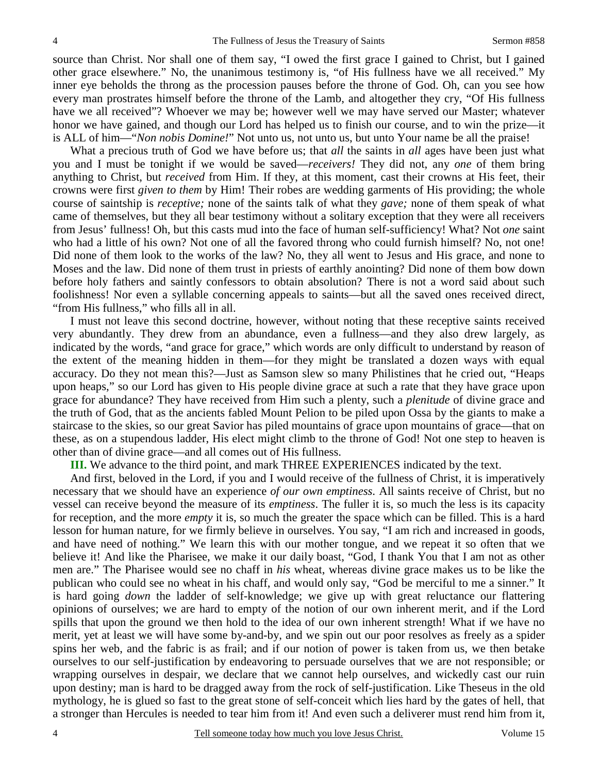source than Christ. Nor shall one of them say, "I owed the first grace I gained to Christ, but I gained other grace elsewhere." No, the unanimous testimony is, "of His fullness have we all received." My inner eye beholds the throng as the procession pauses before the throne of God. Oh, can you see how every man prostrates himself before the throne of the Lamb, and altogether they cry, "Of His fullness have we all received"? Whoever we may be; however well we may have served our Master; whatever honor we have gained, and though our Lord has helped us to finish our course, and to win the prize—it is ALL of him—"*Non nobis Domine!*" Not unto us, not unto us, but unto Your name be all the praise!

 What a precious truth of God we have before us; that *all* the saints in *all* ages have been just what you and I must be tonight if we would be saved—*receivers!* They did not, any *one* of them bring anything to Christ, but *received* from Him. If they, at this moment, cast their crowns at His feet, their crowns were first *given to them* by Him! Their robes are wedding garments of His providing; the whole course of saintship is *receptive;* none of the saints talk of what they *gave;* none of them speak of what came of themselves, but they all bear testimony without a solitary exception that they were all receivers from Jesus' fullness! Oh, but this casts mud into the face of human self-sufficiency! What? Not *one* saint who had a little of his own? Not one of all the favored throng who could furnish himself? No, not one! Did none of them look to the works of the law? No, they all went to Jesus and His grace, and none to Moses and the law. Did none of them trust in priests of earthly anointing? Did none of them bow down before holy fathers and saintly confessors to obtain absolution? There is not a word said about such foolishness! Nor even a syllable concerning appeals to saints—but all the saved ones received direct, "from His fullness," who fills all in all.

 I must not leave this second doctrine, however, without noting that these receptive saints received very abundantly. They drew from an abundance, even a fullness—and they also drew largely, as indicated by the words, "and grace for grace," which words are only difficult to understand by reason of the extent of the meaning hidden in them—for they might be translated a dozen ways with equal accuracy. Do they not mean this?—Just as Samson slew so many Philistines that he cried out, "Heaps upon heaps," so our Lord has given to His people divine grace at such a rate that they have grace upon grace for abundance? They have received from Him such a plenty, such a *plenitude* of divine grace and the truth of God, that as the ancients fabled Mount Pelion to be piled upon Ossa by the giants to make a staircase to the skies, so our great Savior has piled mountains of grace upon mountains of grace—that on these, as on a stupendous ladder, His elect might climb to the throne of God! Not one step to heaven is other than of divine grace—and all comes out of His fullness.

 **III.** We advance to the third point, and mark THREE EXPERIENCES indicated by the text.

 And first, beloved in the Lord, if you and I would receive of the fullness of Christ, it is imperatively necessary that we should have an experience *of our own emptiness*. All saints receive of Christ, but no vessel can receive beyond the measure of its *emptiness*. The fuller it is, so much the less is its capacity for reception, and the more *empty* it is, so much the greater the space which can be filled. This is a hard lesson for human nature, for we firmly believe in ourselves. You say, "I am rich and increased in goods, and have need of nothing." We learn this with our mother tongue, and we repeat it so often that we believe it! And like the Pharisee, we make it our daily boast, "God, I thank You that I am not as other men are." The Pharisee would see no chaff in *his* wheat, whereas divine grace makes us to be like the publican who could see no wheat in his chaff, and would only say, "God be merciful to me a sinner." It is hard going *down* the ladder of self-knowledge; we give up with great reluctance our flattering opinions of ourselves; we are hard to empty of the notion of our own inherent merit, and if the Lord spills that upon the ground we then hold to the idea of our own inherent strength! What if we have no merit, yet at least we will have some by-and-by, and we spin out our poor resolves as freely as a spider spins her web, and the fabric is as frail; and if our notion of power is taken from us, we then betake ourselves to our self-justification by endeavoring to persuade ourselves that we are not responsible; or wrapping ourselves in despair, we declare that we cannot help ourselves, and wickedly cast our ruin upon destiny; man is hard to be dragged away from the rock of self-justification. Like Theseus in the old mythology, he is glued so fast to the great stone of self-conceit which lies hard by the gates of hell, that a stronger than Hercules is needed to tear him from it! And even such a deliverer must rend him from it,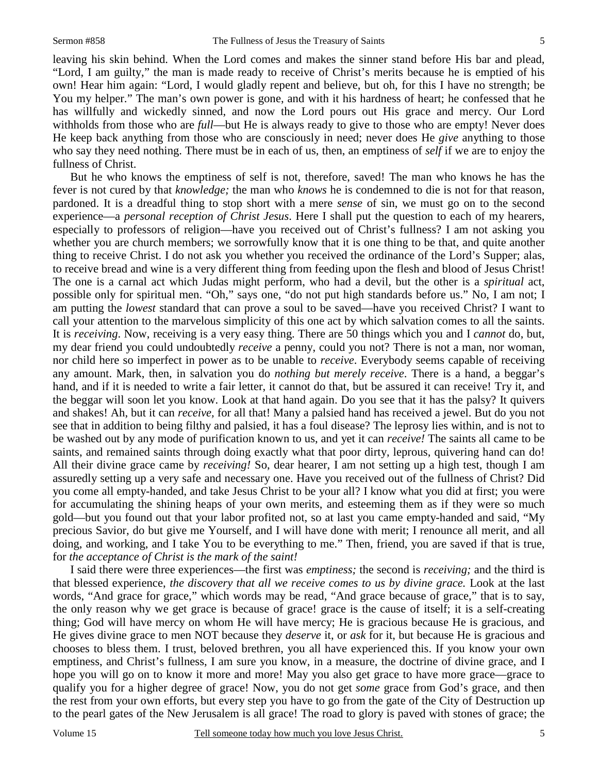leaving his skin behind. When the Lord comes and makes the sinner stand before His bar and plead, "Lord, I am guilty," the man is made ready to receive of Christ's merits because he is emptied of his own! Hear him again: "Lord, I would gladly repent and believe, but oh, for this I have no strength; be You my helper." The man's own power is gone, and with it his hardness of heart; he confessed that he has willfully and wickedly sinned, and now the Lord pours out His grace and mercy. Our Lord withholds from those who are *full*—but He is always ready to give to those who are empty! Never does He keep back anything from those who are consciously in need; never does He *give* anything to those who say they need nothing. There must be in each of us, then, an emptiness of *self* if we are to enjoy the fullness of Christ.

 But he who knows the emptiness of self is not, therefore, saved! The man who knows he has the fever is not cured by that *knowledge;* the man who *knows* he is condemned to die is not for that reason, pardoned. It is a dreadful thing to stop short with a mere *sense* of sin, we must go on to the second experience—a *personal reception of Christ Jesus*. Here I shall put the question to each of my hearers, especially to professors of religion—have you received out of Christ's fullness? I am not asking you whether you are church members; we sorrowfully know that it is one thing to be that, and quite another thing to receive Christ. I do not ask you whether you received the ordinance of the Lord's Supper; alas, to receive bread and wine is a very different thing from feeding upon the flesh and blood of Jesus Christ! The one is a carnal act which Judas might perform, who had a devil, but the other is a *spiritual* act, possible only for spiritual men. "Oh," says one, "do not put high standards before us." No, I am not; I am putting the *lowest* standard that can prove a soul to be saved—have you received Christ? I want to call your attention to the marvelous simplicity of this one act by which salvation comes to all the saints. It is *receiving*. Now, receiving is a very easy thing. There are 50 things which you and I *cannot* do, but, my dear friend you could undoubtedly *receive* a penny, could you not? There is not a man, nor woman, nor child here so imperfect in power as to be unable to *receive*. Everybody seems capable of receiving any amount. Mark, then, in salvation you do *nothing but merely receive*. There is a hand, a beggar's hand, and if it is needed to write a fair letter, it cannot do that, but be assured it can receive! Try it, and the beggar will soon let you know. Look at that hand again. Do you see that it has the palsy? It quivers and shakes! Ah, but it can *receive,* for all that! Many a palsied hand has received a jewel. But do you not see that in addition to being filthy and palsied, it has a foul disease? The leprosy lies within, and is not to be washed out by any mode of purification known to us, and yet it can *receive!* The saints all came to be saints, and remained saints through doing exactly what that poor dirty, leprous, quivering hand can do! All their divine grace came by *receiving!* So, dear hearer, I am not setting up a high test, though I am assuredly setting up a very safe and necessary one. Have you received out of the fullness of Christ? Did you come all empty-handed, and take Jesus Christ to be your all? I know what you did at first; you were for accumulating the shining heaps of your own merits, and esteeming them as if they were so much gold—but you found out that your labor profited not, so at last you came empty-handed and said, "My precious Savior, do but give me Yourself, and I will have done with merit; I renounce all merit, and all doing, and working, and I take You to be everything to me." Then, friend, you are saved if that is true, for *the acceptance of Christ is the mark of the saint!*

 I said there were three experiences—the first was *emptiness;* the second is *receiving;* and the third is that blessed experience, *the discovery that all we receive comes to us by divine grace.* Look at the last words, "And grace for grace," which words may be read, "And grace because of grace," that is to say, the only reason why we get grace is because of grace! grace is the cause of itself; it is a self-creating thing; God will have mercy on whom He will have mercy; He is gracious because He is gracious, and He gives divine grace to men NOT because they *deserve* it, or *ask* for it, but because He is gracious and chooses to bless them. I trust, beloved brethren, you all have experienced this. If you know your own emptiness, and Christ's fullness, I am sure you know, in a measure, the doctrine of divine grace, and I hope you will go on to know it more and more! May you also get grace to have more grace—grace to qualify you for a higher degree of grace! Now, you do not get *some* grace from God's grace, and then the rest from your own efforts, but every step you have to go from the gate of the City of Destruction up to the pearl gates of the New Jerusalem is all grace! The road to glory is paved with stones of grace; the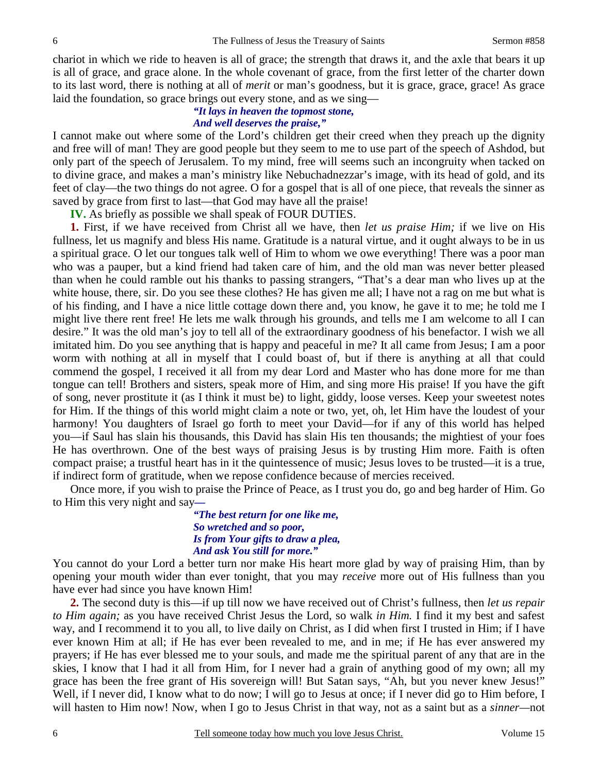chariot in which we ride to heaven is all of grace; the strength that draws it, and the axle that bears it up is all of grace, and grace alone. In the whole covenant of grace, from the first letter of the charter down to its last word, there is nothing at all of *merit* or man's goodness, but it is grace, grace, grace! As grace laid the foundation, so grace brings out every stone, and as we sing—

#### *"It lays in heaven the topmost stone, And well deserves the praise,"*

I cannot make out where some of the Lord's children get their creed when they preach up the dignity and free will of man! They are good people but they seem to me to use part of the speech of Ashdod, but only part of the speech of Jerusalem. To my mind, free will seems such an incongruity when tacked on to divine grace, and makes a man's ministry like Nebuchadnezzar's image, with its head of gold, and its feet of clay—the two things do not agree. O for a gospel that is all of one piece, that reveals the sinner as saved by grace from first to last—that God may have all the praise!

**IV.** As briefly as possible we shall speak of FOUR DUTIES.

**1.** First, if we have received from Christ all we have, then *let us praise Him;* if we live on His fullness, let us magnify and bless His name. Gratitude is a natural virtue, and it ought always to be in us a spiritual grace. O let our tongues talk well of Him to whom we owe everything! There was a poor man who was a pauper, but a kind friend had taken care of him, and the old man was never better pleased than when he could ramble out his thanks to passing strangers, "That's a dear man who lives up at the white house, there, sir. Do you see these clothes? He has given me all; I have not a rag on me but what is of his finding, and I have a nice little cottage down there and, you know, he gave it to me; he told me I might live there rent free! He lets me walk through his grounds, and tells me I am welcome to all I can desire." It was the old man's joy to tell all of the extraordinary goodness of his benefactor. I wish we all imitated him. Do you see anything that is happy and peaceful in me? It all came from Jesus; I am a poor worm with nothing at all in myself that I could boast of, but if there is anything at all that could commend the gospel, I received it all from my dear Lord and Master who has done more for me than tongue can tell! Brothers and sisters, speak more of Him, and sing more His praise! If you have the gift of song, never prostitute it (as I think it must be) to light, giddy, loose verses. Keep your sweetest notes for Him. If the things of this world might claim a note or two, yet, oh, let Him have the loudest of your harmony! You daughters of Israel go forth to meet your David—for if any of this world has helped you—if Saul has slain his thousands, this David has slain His ten thousands; the mightiest of your foes He has overthrown. One of the best ways of praising Jesus is by trusting Him more. Faith is often compact praise; a trustful heart has in it the quintessence of music; Jesus loves to be trusted—it is a true, if indirect form of gratitude, when we repose confidence because of mercies received.

 Once more, if you wish to praise the Prince of Peace, as I trust you do, go and beg harder of Him. Go to Him this very night and say*—* 

> *"The best return for one like me, So wretched and so poor, Is from Your gifts to draw a plea, And ask You still for more."*

You cannot do your Lord a better turn nor make His heart more glad by way of praising Him, than by opening your mouth wider than ever tonight, that you may *receive* more out of His fullness than you have ever had since you have known Him!

**2.** The second duty is this—if up till now we have received out of Christ's fullness, then *let us repair to Him again;* as you have received Christ Jesus the Lord, so walk *in Him.* I find it my best and safest way, and I recommend it to you all, to live daily on Christ, as I did when first I trusted in Him; if I have ever known Him at all; if He has ever been revealed to me, and in me; if He has ever answered my prayers; if He has ever blessed me to your souls, and made me the spiritual parent of any that are in the skies, I know that I had it all from Him, for I never had a grain of anything good of my own; all my grace has been the free grant of His sovereign will! But Satan says, "Ah, but you never knew Jesus!" Well, if I never did, I know what to do now; I will go to Jesus at once; if I never did go to Him before, I will hasten to Him now! Now, when I go to Jesus Christ in that way, not as a saint but as a *sinner—*not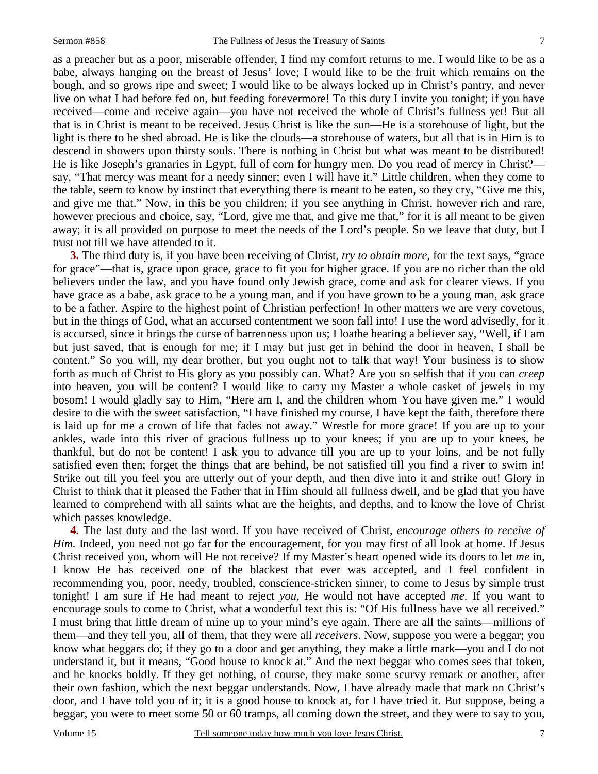as a preacher but as a poor, miserable offender, I find my comfort returns to me. I would like to be as a babe, always hanging on the breast of Jesus' love; I would like to be the fruit which remains on the bough, and so grows ripe and sweet; I would like to be always locked up in Christ's pantry, and never live on what I had before fed on, but feeding forevermore! To this duty I invite you tonight; if you have received—come and receive again—you have not received the whole of Christ's fullness yet! But all that is in Christ is meant to be received. Jesus Christ is like the sun—He is a storehouse of light, but the light is there to be shed abroad. He is like the clouds—a storehouse of waters, but all that is in Him is to descend in showers upon thirsty souls. There is nothing in Christ but what was meant to be distributed! He is like Joseph's granaries in Egypt, full of corn for hungry men. Do you read of mercy in Christ? say, "That mercy was meant for a needy sinner; even I will have it." Little children, when they come to the table, seem to know by instinct that everything there is meant to be eaten, so they cry, "Give me this, and give me that." Now, in this be you children; if you see anything in Christ, however rich and rare, however precious and choice, say, "Lord, give me that, and give me that," for it is all meant to be given away; it is all provided on purpose to meet the needs of the Lord's people. So we leave that duty, but I trust not till we have attended to it.

**3.** The third duty is, if you have been receiving of Christ, *try to obtain more,* for the text says, "grace for grace"—that is, grace upon grace, grace to fit you for higher grace. If you are no richer than the old believers under the law, and you have found only Jewish grace, come and ask for clearer views. If you have grace as a babe, ask grace to be a young man, and if you have grown to be a young man, ask grace to be a father. Aspire to the highest point of Christian perfection! In other matters we are very covetous, but in the things of God, what an accursed contentment we soon fall into! I use the word advisedly, for it is accursed, since it brings the curse of barrenness upon us; I loathe hearing a believer say, "Well, if I am but just saved, that is enough for me; if I may but just get in behind the door in heaven, I shall be content." So you will, my dear brother, but you ought not to talk that way! Your business is to show forth as much of Christ to His glory as you possibly can. What? Are you so selfish that if you can *creep* into heaven, you will be content? I would like to carry my Master a whole casket of jewels in my bosom! I would gladly say to Him, "Here am I, and the children whom You have given me." I would desire to die with the sweet satisfaction, "I have finished my course, I have kept the faith, therefore there is laid up for me a crown of life that fades not away." Wrestle for more grace! If you are up to your ankles, wade into this river of gracious fullness up to your knees; if you are up to your knees, be thankful, but do not be content! I ask you to advance till you are up to your loins, and be not fully satisfied even then; forget the things that are behind, be not satisfied till you find a river to swim in! Strike out till you feel you are utterly out of your depth, and then dive into it and strike out! Glory in Christ to think that it pleased the Father that in Him should all fullness dwell, and be glad that you have learned to comprehend with all saints what are the heights, and depths, and to know the love of Christ which passes knowledge.

**4.** The last duty and the last word. If you have received of Christ, *encourage others to receive of Him.* Indeed, you need not go far for the encouragement, for you may first of all look at home. If Jesus Christ received you, whom will He not receive? If my Master's heart opened wide its doors to let *me* in, I know He has received one of the blackest that ever was accepted, and I feel confident in recommending you, poor, needy, troubled, conscience-stricken sinner, to come to Jesus by simple trust tonight! I am sure if He had meant to reject *you*, He would not have accepted *me*. If you want to encourage souls to come to Christ, what a wonderful text this is: "Of His fullness have we all received." I must bring that little dream of mine up to your mind's eye again. There are all the saints—millions of them—and they tell you, all of them, that they were all *receivers*. Now, suppose you were a beggar; you know what beggars do; if they go to a door and get anything, they make a little mark—you and I do not understand it, but it means, "Good house to knock at." And the next beggar who comes sees that token, and he knocks boldly. If they get nothing, of course, they make some scurvy remark or another, after their own fashion, which the next beggar understands. Now, I have already made that mark on Christ's door, and I have told you of it; it is a good house to knock at, for I have tried it. But suppose, being a beggar, you were to meet some 50 or 60 tramps, all coming down the street, and they were to say to you,